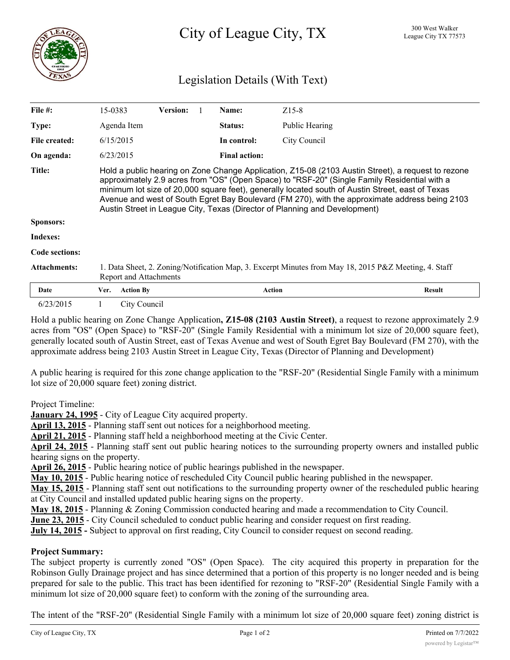

# Legislation Details (With Text)

| File $#$ :          | 15-0383                                                                                                                                                                                                                                                                                                                                                                                                                                                                                |                  | <b>Version:</b> |  | Name:                | $Z15-8$        |        |
|---------------------|----------------------------------------------------------------------------------------------------------------------------------------------------------------------------------------------------------------------------------------------------------------------------------------------------------------------------------------------------------------------------------------------------------------------------------------------------------------------------------------|------------------|-----------------|--|----------------------|----------------|--------|
| Type:               | Agenda Item                                                                                                                                                                                                                                                                                                                                                                                                                                                                            |                  |                 |  | <b>Status:</b>       | Public Hearing |        |
| File created:       | 6/15/2015                                                                                                                                                                                                                                                                                                                                                                                                                                                                              |                  |                 |  | In control:          | City Council   |        |
| On agenda:          | 6/23/2015                                                                                                                                                                                                                                                                                                                                                                                                                                                                              |                  |                 |  | <b>Final action:</b> |                |        |
| Title:              | Hold a public hearing on Zone Change Application, Z15-08 (2103 Austin Street), a request to rezone<br>approximately 2.9 acres from "OS" (Open Space) to "RSF-20" (Single Family Residential with a<br>minimum lot size of 20,000 square feet), generally located south of Austin Street, east of Texas<br>Avenue and west of South Egret Bay Boulevard (FM 270), with the approximate address being 2103<br>Austin Street in League City, Texas (Director of Planning and Development) |                  |                 |  |                      |                |        |
| Sponsors:           |                                                                                                                                                                                                                                                                                                                                                                                                                                                                                        |                  |                 |  |                      |                |        |
| <b>Indexes:</b>     |                                                                                                                                                                                                                                                                                                                                                                                                                                                                                        |                  |                 |  |                      |                |        |
| Code sections:      |                                                                                                                                                                                                                                                                                                                                                                                                                                                                                        |                  |                 |  |                      |                |        |
| <b>Attachments:</b> | 1. Data Sheet, 2. Zoning/Notification Map, 3. Excerpt Minutes from May 18, 2015 P&Z Meeting, 4. Staff<br>Report and Attachments                                                                                                                                                                                                                                                                                                                                                        |                  |                 |  |                      |                |        |
| Date                | Ver.                                                                                                                                                                                                                                                                                                                                                                                                                                                                                   | <b>Action By</b> |                 |  | <b>Action</b>        |                | Result |
| 6/23/2015           |                                                                                                                                                                                                                                                                                                                                                                                                                                                                                        | City Council     |                 |  |                      |                |        |

Hold a public hearing on Zone Change Application**, Z15-08 (2103 Austin Street)**, a request to rezone approximately 2.9 acres from "OS" (Open Space) to "RSF-20" (Single Family Residential with a minimum lot size of 20,000 square feet), generally located south of Austin Street, east of Texas Avenue and west of South Egret Bay Boulevard (FM 270), with the approximate address being 2103 Austin Street in League City, Texas (Director of Planning and Development)

A public hearing is required for this zone change application to the "RSF-20" (Residential Single Family with a minimum lot size of 20,000 square feet) zoning district.

Project Timeline:

**January 24, 1995** - City of League City acquired property.

**April 13, 2015** - Planning staff sent out notices for a neighborhood meeting.

**April 21, 2015** - Planning staff held a neighborhood meeting at the Civic Center.

**April 24, 2015** - Planning staff sent out public hearing notices to the surrounding property owners and installed public hearing signs on the property.

**April 26, 2015** - Public hearing notice of public hearings published in the newspaper.

**May 10, 2015** - Public hearing notice of rescheduled City Council public hearing published in the newspaper.

**May 15, 2015** - Planning staff sent out notifications to the surrounding property owner of the rescheduled public hearing at City Council and installed updated public hearing signs on the property.

**May 18, 2015** - Planning & Zoning Commission conducted hearing and made a recommendation to City Council.

**June 23, 2015** - City Council scheduled to conduct public hearing and consider request on first reading.

**July 14, 2015 -** Subject to approval on first reading, City Council to consider request on second reading.

## **Project Summary:**

The subject property is currently zoned "OS" (Open Space). The city acquired this property in preparation for the Robinson Gully Drainage project and has since determined that a portion of this property is no longer needed and is being prepared for sale to the public. This tract has been identified for rezoning to "RSF-20" (Residential Single Family with a minimum lot size of 20,000 square feet) to conform with the zoning of the surrounding area.

The intent of the "RSF-20" (Residential Single Family with a minimum lot size of 20,000 square feet) zoning district is